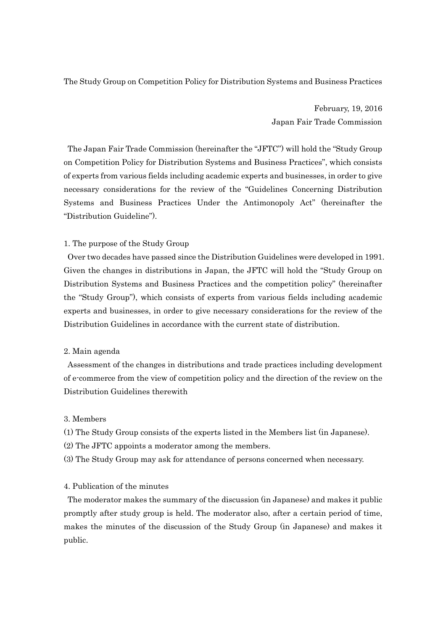The Study Group on Competition Policy for Distribution Systems and Business Practices

February, 19, 2016 Japan Fair Trade Commission

The Japan Fair Trade Commission (hereinafter the "JFTC") will hold the "Study Group on Competition Policy for Distribution Systems and Business Practices", which consists of experts from various fields including academic experts and businesses, in order to give necessary considerations for the review of the "Guidelines Concerning Distribution Systems and Business Practices Under the Antimonopoly Act" (hereinafter the "Distribution Guideline").

### 1. The purpose of the Study Group

Over two decades have passed since the Distribution Guidelines were developed in 1991. Given the changes in distributions in Japan, the JFTC will hold the "Study Group on Distribution Systems and Business Practices and the competition policy" (hereinafter the "Study Group"), which consists of experts from various fields including academic experts and businesses, in order to give necessary considerations for the review of the Distribution Guidelines in accordance with the current state of distribution.

### 2. Main agenda

Assessment of the changes in distributions and trade practices including development of e-commerce from the view of competition policy and the direction of the review on the Distribution Guidelines therewith

#### 3. Members

- (1) The Study Group consists of the experts listed in the Members list (in Japanese).
- (2) The JFTC appoints a moderator among the members.
- (3) The Study Group may ask for attendance of persons concerned when necessary.

### 4. Publication of the minutes

The moderator makes the summary of the discussion (in Japanese) and makes it public promptly after study group is held. The moderator also, after a certain period of time, makes the minutes of the discussion of the Study Group (in Japanese) and makes it public.